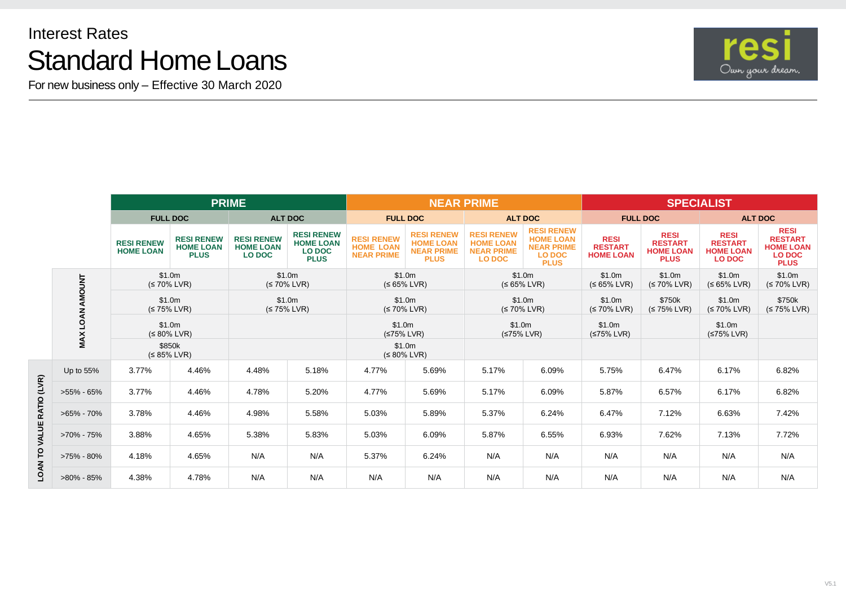## Interest Rates Standard Home Loans

For new business only – Effective 30 March 2020



|                           |                 | <b>PRIME</b>                          |                                                      |                                                        |                                                                       | <b>NEAR PRIME</b>                                          |                                                                           |                                                                             |                                                                                            | <b>SPECIALIST</b>                                 |                                                                  |                                                                    |                                                                                   |
|---------------------------|-----------------|---------------------------------------|------------------------------------------------------|--------------------------------------------------------|-----------------------------------------------------------------------|------------------------------------------------------------|---------------------------------------------------------------------------|-----------------------------------------------------------------------------|--------------------------------------------------------------------------------------------|---------------------------------------------------|------------------------------------------------------------------|--------------------------------------------------------------------|-----------------------------------------------------------------------------------|
|                           |                 | <b>FULL DOC</b>                       |                                                      | <b>ALT DOC</b>                                         |                                                                       | <b>FULL DOC</b>                                            |                                                                           | <b>ALT DOC</b>                                                              |                                                                                            | <b>FULL DOC</b>                                   |                                                                  | <b>ALT DOC</b>                                                     |                                                                                   |
|                           |                 | <b>RESI RENEW</b><br><b>HOME LOAN</b> | <b>RESI RENEW</b><br><b>HOME LOAN</b><br><b>PLUS</b> | <b>RESI RENEW</b><br><b>HOME LOAN</b><br><b>LO DOC</b> | <b>RESI RENEW</b><br><b>HOME LOAN</b><br><b>LO DOC</b><br><b>PLUS</b> | <b>RESI RENEW</b><br><b>HOME LOAN</b><br><b>NEAR PRIME</b> | <b>RESI RENEW</b><br><b>HOME LOAN</b><br><b>NEAR PRIME</b><br><b>PLUS</b> | <b>RESI RENEW</b><br><b>HOME LOAN</b><br><b>NEAR PRIME</b><br><b>LO DOC</b> | <b>RESI RENEW</b><br><b>HOME LOAN</b><br><b>NEAR PRIME</b><br><b>LO DOC</b><br><b>PLUS</b> | <b>RESI</b><br><b>RESTART</b><br><b>HOME LOAN</b> | <b>RESI</b><br><b>RESTART</b><br><b>HOME LOAN</b><br><b>PLUS</b> | <b>RESI</b><br><b>RESTART</b><br><b>HOME LOAN</b><br><b>LO DOC</b> | <b>RESI</b><br><b>RESTART</b><br><b>HOME LOAN</b><br><b>LO DOC</b><br><b>PLUS</b> |
|                           |                 | \$1.0m<br>$(S 70\%$ LVR)              |                                                      | \$1.0m<br>$(S 70\%$ LVR)                               |                                                                       | \$1.0m<br>$(565\%$ LVR)                                    |                                                                           | \$1.0m<br>$(565\%$ LVR)                                                     |                                                                                            | \$1.0m<br>$(S 65\%$ LVR)                          | \$1.0m<br>$(S 70\%$ LVR)                                         | \$1.0m<br>$(565\%$ LVR)                                            | \$1.0m<br>$(S 70\%$ LVR)                                                          |
|                           | MAX LOAN AMOUNT | \$1.0m<br>$(S 75\%$ LVR)              |                                                      | \$1.0m<br>$(S 75\%$ LVR)                               |                                                                       | \$1.0m<br>$(S 70\%$ LVR)                                   |                                                                           | \$1.0m<br>$(S 70\%$ LVR)                                                    |                                                                                            | \$1.0m<br>$(S 70\%$ LVR)                          | \$750k<br>$(S 75\%$ LVR)                                         | \$1.0m<br>$(S 70\%$ LVR)                                           | \$750k<br>$(S 75\%$ LVR)                                                          |
|                           |                 | \$1.0m<br>$(S 80\%$ LVR)              |                                                      |                                                        |                                                                       | \$1.0m<br>$(575\%$ LVR)                                    |                                                                           | \$1.0m<br>$(575\%$ LVR)                                                     |                                                                                            | \$1.0m<br>(≤75% LVR)                              |                                                                  | \$1.0m<br>$(575\%$ LVR)                                            |                                                                                   |
|                           |                 | \$850k<br>$(S 85\%$ LVR)              |                                                      |                                                        |                                                                       | \$1.0m<br>$(580\%$ LVR)                                    |                                                                           |                                                                             |                                                                                            |                                                   |                                                                  |                                                                    |                                                                                   |
| LOAN TO VALUE RATIO (LVR) | Up to 55%       | 3.77%                                 | 4.46%                                                | 4.48%                                                  | 5.18%                                                                 | 4.77%                                                      | 5.69%                                                                     | 5.17%                                                                       | 6.09%                                                                                      | 5.75%                                             | 6.47%                                                            | 6.17%                                                              | 6.82%                                                                             |
|                           | $>55\% - 65\%$  | 3.77%                                 | 4.46%                                                | 4.78%                                                  | 5.20%                                                                 | 4.77%                                                      | 5.69%                                                                     | 5.17%                                                                       | 6.09%                                                                                      | 5.87%                                             | 6.57%                                                            | 6.17%                                                              | 6.82%                                                                             |
|                           | $>65\% - 70\%$  | 3.78%                                 | 4.46%                                                | 4.98%                                                  | 5.58%                                                                 | 5.03%                                                      | 5.89%                                                                     | 5.37%                                                                       | 6.24%                                                                                      | 6.47%                                             | 7.12%                                                            | 6.63%                                                              | 7.42%                                                                             |
|                           | >70% - 75%      | 3.88%                                 | 4.65%                                                | 5.38%                                                  | 5.83%                                                                 | 5.03%                                                      | 6.09%                                                                     | 5.87%                                                                       | 6.55%                                                                                      | 6.93%                                             | 7.62%                                                            | 7.13%                                                              | 7.72%                                                                             |
|                           | >75% - 80%      | 4.18%                                 | 4.65%                                                | N/A                                                    | N/A                                                                   | 5.37%                                                      | 6.24%                                                                     | N/A                                                                         | N/A                                                                                        | N/A                                               | N/A                                                              | N/A                                                                | N/A                                                                               |
|                           | >80% - 85%      | 4.38%                                 | 4.78%                                                | N/A                                                    | N/A                                                                   | N/A                                                        | N/A                                                                       | N/A                                                                         | N/A                                                                                        | N/A                                               | N/A                                                              | N/A                                                                | N/A                                                                               |